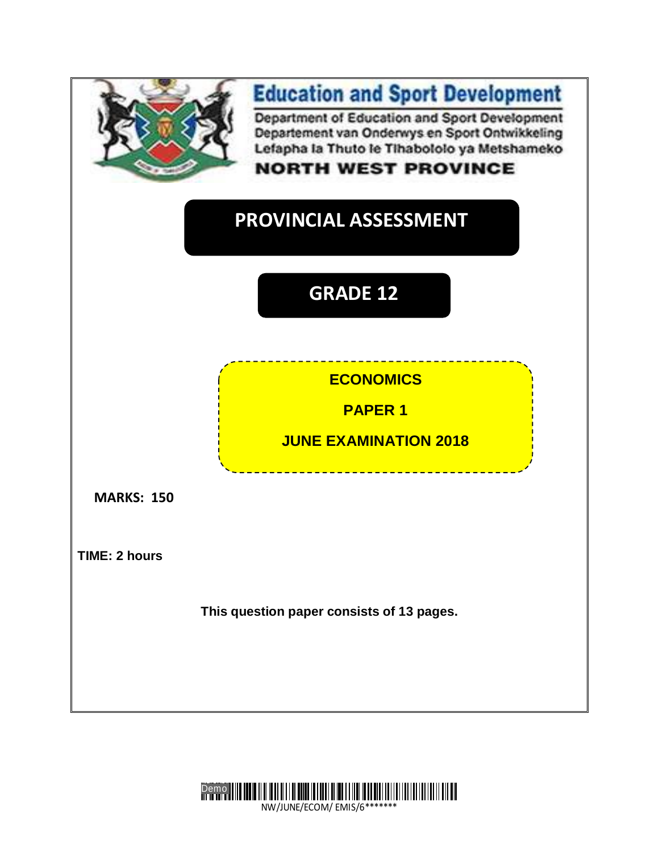



NW/JUNE/ECOM/ EMIS/6\*\*\*\*\*\*\*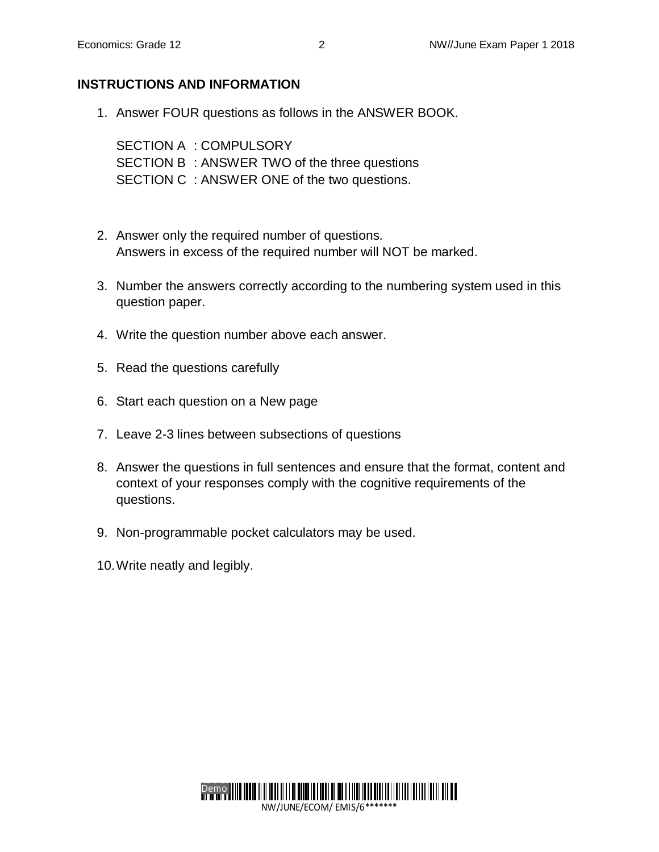## **INSTRUCTIONS AND INFORMATION**

1. Answer FOUR questions as follows in the ANSWER BOOK.

SECTION A : COMPULSORY SECTION B : ANSWER TWO of the three questions SECTION C : ANSWER ONE of the two questions.

- 2. Answer only the required number of questions. Answers in excess of the required number will NOT be marked.
- 3. Number the answers correctly according to the numbering system used in this question paper.
- 4. Write the question number above each answer.
- 5. Read the questions carefully
- 6. Start each question on a New page
- 7. Leave 2-3 lines between subsections of questions
- 8. Answer the questions in full sentences and ensure that the format, content and context of your responses comply with the cognitive requirements of the questions.
- 9. Non-programmable pocket calculators may be used.
- 10.Write neatly and legibly.



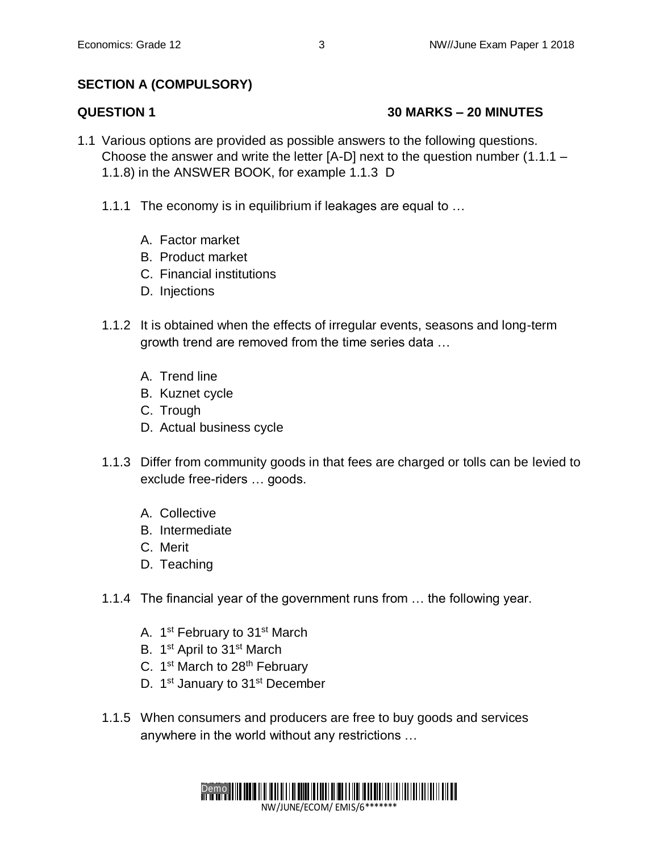# **SECTION A (COMPULSORY)**

# **QUESTION 1 30 MARKS – 20 MINUTES**

- 1.1 Various options are provided as possible answers to the following questions. Choose the answer and write the letter [A-D] next to the question number (1.1.1 – 1.1.8) in the ANSWER BOOK, for example 1.1.3 D
	- 1.1.1 The economy is in equilibrium if leakages are equal to …
		- A. Factor market
		- B. Product market
		- C. Financial institutions
		- D. Injections
	- 1.1.2 It is obtained when the effects of irregular events, seasons and long-term growth trend are removed from the time series data …
		- A. Trend line
		- B. Kuznet cycle
		- C. Trough
		- D. Actual business cycle
	- 1.1.3 Differ from community goods in that fees are charged or tolls can be levied to exclude free-riders … goods.
		- A. Collective
		- B. Intermediate
		- C. Merit
		- D. Teaching
	- 1.1.4 The financial year of the government runs from … the following year.
		- A. 1<sup>st</sup> February to 31<sup>st</sup> March
		- B. 1<sup>st</sup> April to 31<sup>st</sup> March
		- C. 1<sup>st</sup> March to 28<sup>th</sup> February
		- D. 1<sup>st</sup> January to 31<sup>st</sup> December
	- 1.1.5 When consumers and producers are free to buy goods and services anywhere in the world without any restrictions …

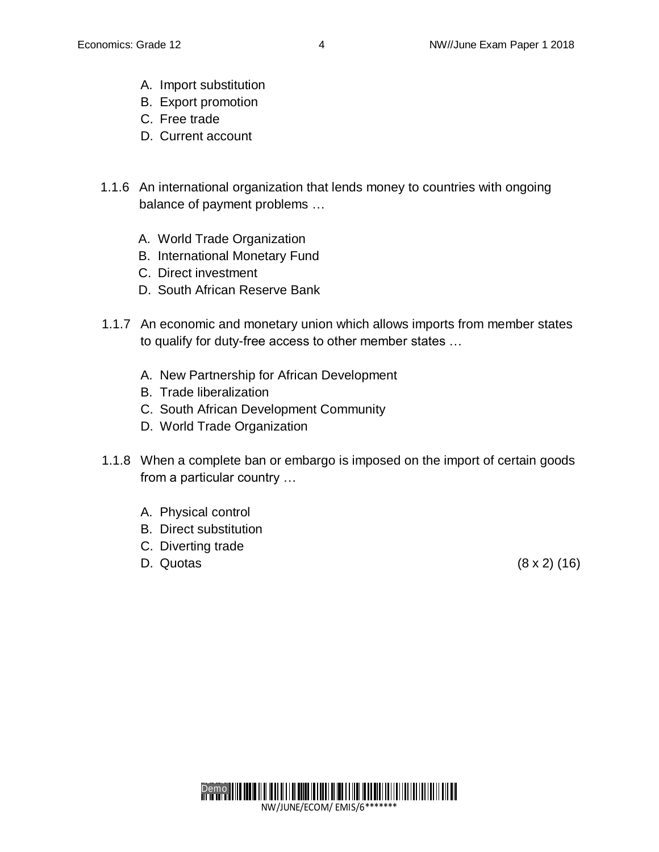- A. Import substitution
- B. Export promotion
- C. Free trade
- D. Current account
- 1.1.6 An international organization that lends money to countries with ongoing balance of payment problems …
	- A. World Trade Organization
	- B. International Monetary Fund
	- C. Direct investment
	- D. South African Reserve Bank
- 1.1.7 An economic and monetary union which allows imports from member states to qualify for duty-free access to other member states …
	- A. New Partnership for African Development
	- B. Trade liberalization
	- C. South African Development Community
	- D. World Trade Organization
- 1.1.8 When a complete ban or embargo is imposed on the import of certain goods from a particular country …
	- A. Physical control
	- B. Direct substitution
	- C. Diverting trade
	- D. Quotas (8 x 2) (16)

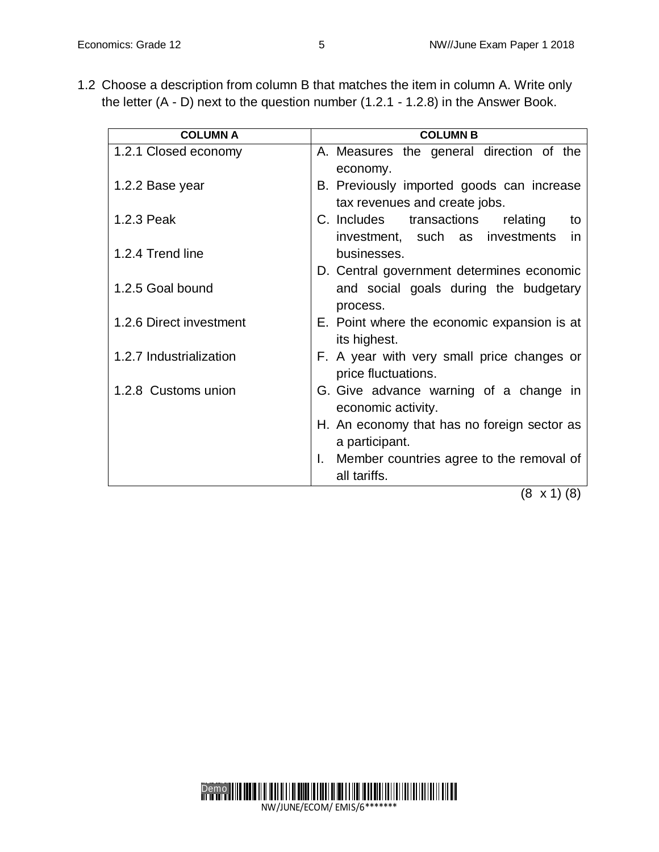1.2 Choose a description from column B that matches the item in column A. Write only the letter (A - D) next to the question number (1.2.1 - 1.2.8) in the Answer Book.

| <b>COLUMN A</b>         | <b>COLUMN B</b>                                |  |  |  |
|-------------------------|------------------------------------------------|--|--|--|
| 1.2.1 Closed economy    | A. Measures the general direction of the       |  |  |  |
|                         | economy.                                       |  |  |  |
| 1.2.2 Base year         | B. Previously imported goods can increase      |  |  |  |
|                         | tax revenues and create jobs.                  |  |  |  |
| 1.2.3 Peak              | C. Includes transactions<br>relating<br>to     |  |  |  |
|                         | investment, such as investments<br>in          |  |  |  |
| 1.2.4 Trend line        | businesses.                                    |  |  |  |
|                         | D. Central government determines economic      |  |  |  |
| 1.2.5 Goal bound        | and social goals during the budgetary          |  |  |  |
|                         | process.                                       |  |  |  |
| 1.2.6 Direct investment | E. Point where the economic expansion is at    |  |  |  |
|                         | its highest.                                   |  |  |  |
| 1.2.7 Industrialization | F. A year with very small price changes or     |  |  |  |
|                         | price fluctuations.                            |  |  |  |
| 1.2.8 Customs union     | G. Give advance warning of a change in         |  |  |  |
|                         | economic activity.                             |  |  |  |
|                         | H. An economy that has no foreign sector as    |  |  |  |
|                         | a participant.                                 |  |  |  |
|                         | Member countries agree to the removal of<br>L. |  |  |  |
|                         | all tariffs.                                   |  |  |  |

(8 x 1) (8)

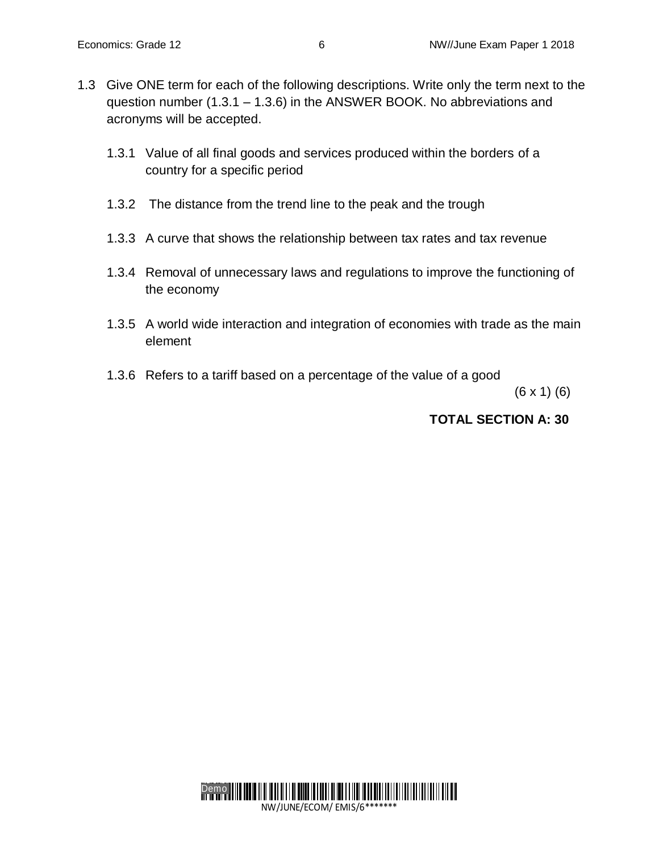- 1.3 Give ONE term for each of the following descriptions. Write only the term next to the question number (1.3.1 – 1.3.6) in the ANSWER BOOK. No abbreviations and acronyms will be accepted.
	- 1.3.1 Value of all final goods and services produced within the borders of a country for a specific period
	- 1.3.2 The distance from the trend line to the peak and the trough
	- 1.3.3 A curve that shows the relationship between tax rates and tax revenue
	- 1.3.4 Removal of unnecessary laws and regulations to improve the functioning of the economy
	- 1.3.5 A world wide interaction and integration of economies with trade as the main element
	- 1.3.6 Refers to a tariff based on a percentage of the value of a good

 $(6 \times 1)$   $(6)$ 

### **TOTAL SECTION A: 30**

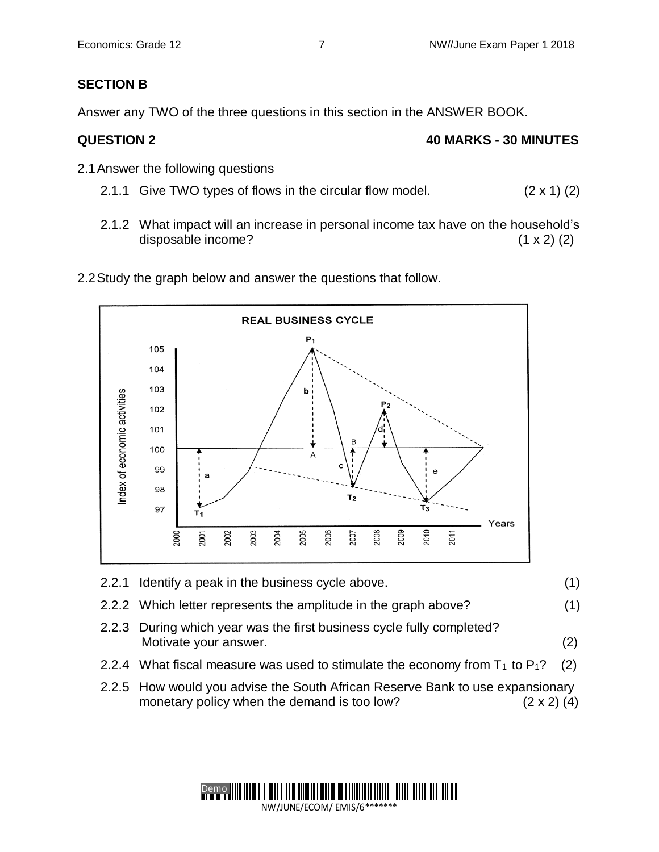# **SECTION B**

Answer any TWO of the three questions in this section in the ANSWER BOOK.

# **QUESTION 2 40 MARKS - 30 MINUTES**

- 2.1Answer the following questions
	- 2.1.1 Give TWO types of flows in the circular flow model.  $(2 \times 1)$  (2)
	- 2.1.2 What impact will an increase in personal income tax have on the household's disposable income? (1 x 2) (2)





- 2.2.1 Identify a peak in the business cycle above. (1)
- 2.2.2 Which letter represents the amplitude in the graph above? (1)
- 2.2.3 During which year was the first business cycle fully completed? Motivate your answer. (2)
- 2.2.4 What fiscal measure was used to stimulate the economy from  $T_1$  to  $P_1$ ? (2)
- 2.2.5 How would you advise the South African Reserve Bank to use expansionary monetary policy when the demand is too low?  $(2 \times 2)$  (4)

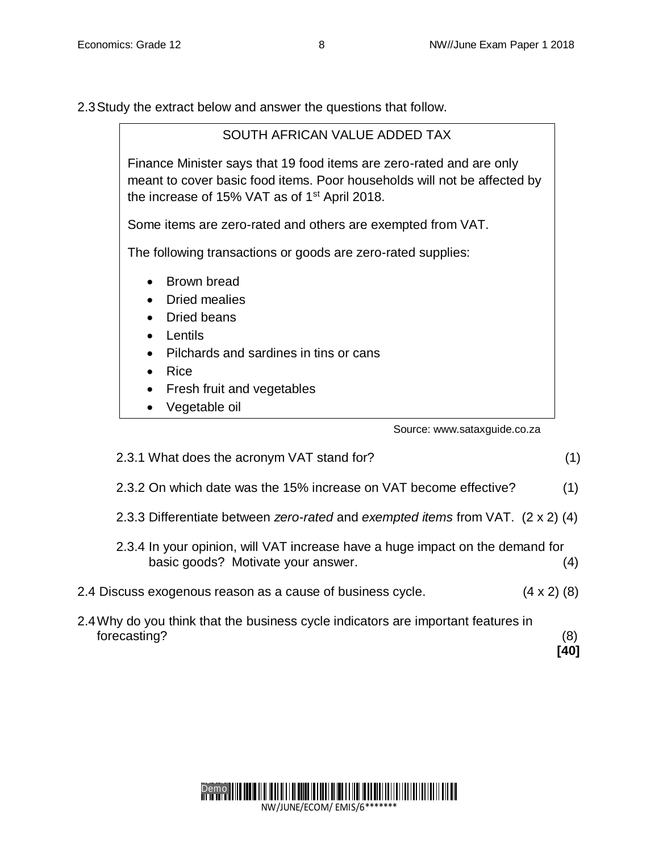2.3Study the extract below and answer the questions that follow.

| SOUTH AFRICAN VALUE ADDED TAX                                                                                                                                                                                 |  |  |  |
|---------------------------------------------------------------------------------------------------------------------------------------------------------------------------------------------------------------|--|--|--|
| Finance Minister says that 19 food items are zero-rated and are only<br>meant to cover basic food items. Poor households will not be affected by<br>the increase of 15% VAT as of 1 <sup>st</sup> April 2018. |  |  |  |
| Some items are zero-rated and others are exempted from VAT.                                                                                                                                                   |  |  |  |
| The following transactions or goods are zero-rated supplies:                                                                                                                                                  |  |  |  |
| Brown bread<br>Dried mealies<br>Dried beans<br>Lentils<br>Pilchards and sardines in tins or cans<br>$\bullet$<br>Rice<br>Fresh fruit and vegetables<br>$\bullet$<br>Vegetable oil                             |  |  |  |

Source: www.sataxguide.co.za

| 2.3.1 What does the acronym VAT stand for?                                                                          | (1)                |
|---------------------------------------------------------------------------------------------------------------------|--------------------|
| 2.3.2 On which date was the 15% increase on VAT become effective?                                                   | (1)                |
| 2.3.3 Differentiate between zero-rated and exempted items from VAT. (2 x 2) (4)                                     |                    |
| 2.3.4 In your opinion, will VAT increase have a huge impact on the demand for<br>basic goods? Motivate your answer. | (4)                |
| 2.4 Discuss exogenous reason as a cause of business cycle.                                                          | $(4 \times 2)$ (8) |
| 2.4 Why do you think that the business cycle indicators are important features in<br>forecasting?                   | (8)<br>40          |

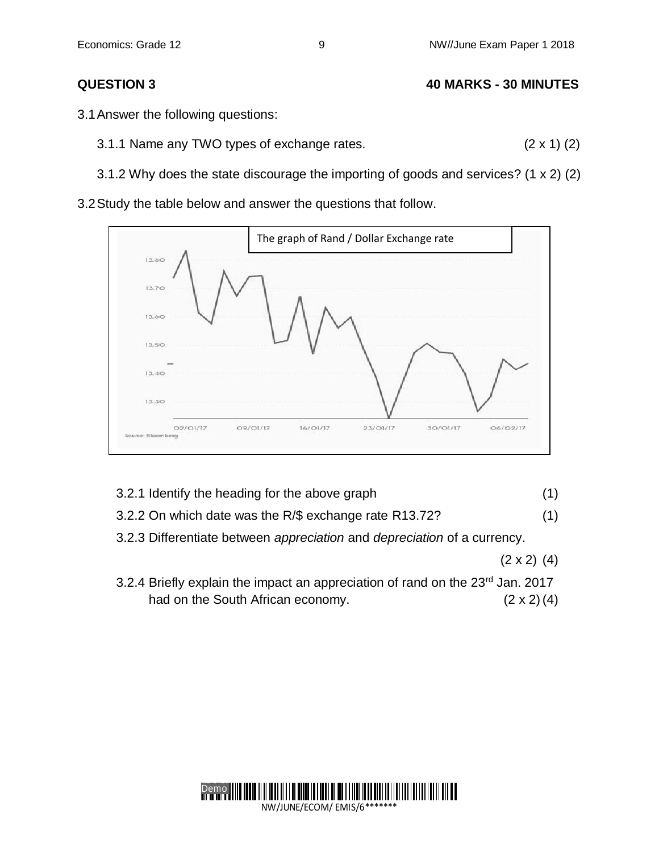Economics: Grade 12 **8 NW//June Exam Paper 1 2018** 

- **QUESTION 3 40 MARKS - 30 MINUTES**
- 3.1Answer the following questions:
	- 3.1.1 Name any TWO types of exchange rates. (2 x 1) (2)
	- 3.1.2 Why does the state discourage the importing of goods and services? (1 x 2) (2)

3.2Study the table below and answer the questions that follow.



- 3.2.1 Identify the heading for the above graph (1)
- 3.2.2 On which date was the R/\$ exchange rate R13.72? (1)
- 3.2.3 Differentiate between *appreciation* and *depreciation* of a currency.
	- $(2 \times 2)$  (4)
- 3.2.4 Briefly explain the impact an appreciation of rand on the 23<sup>rd</sup> Jan. 2017 had on the South African economy. (2 x 2) (4)

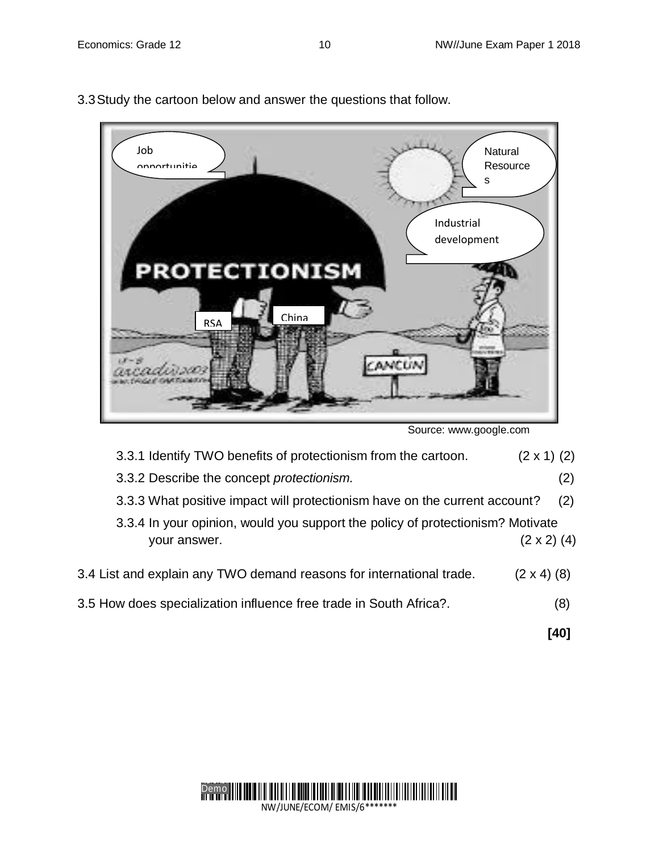

3.3Study the cartoon below and answer the questions that follow.

Source: [www.google.com](http://www.google.com/)

| 3.3.1 Identify TWO benefits of protectionism from the cartoon. | $(2 \times 1)$ (2) |
|----------------------------------------------------------------|--------------------|
|----------------------------------------------------------------|--------------------|

- 3.3.2 Describe the concept *protectionism.* (2)
- 3.3.3 What positive impact will protectionism have on the current account? (2)
- 3.3.4 In your opinion, would you support the policy of protectionism? Motivate your answer.  $(2 \times 2)$  (4)
- 3.4 List and explain any TWO demand reasons for international trade. (2 x 4) (8)
- 3.5 How does specialization influence free trade in South Africa?. (8)

**[40]**

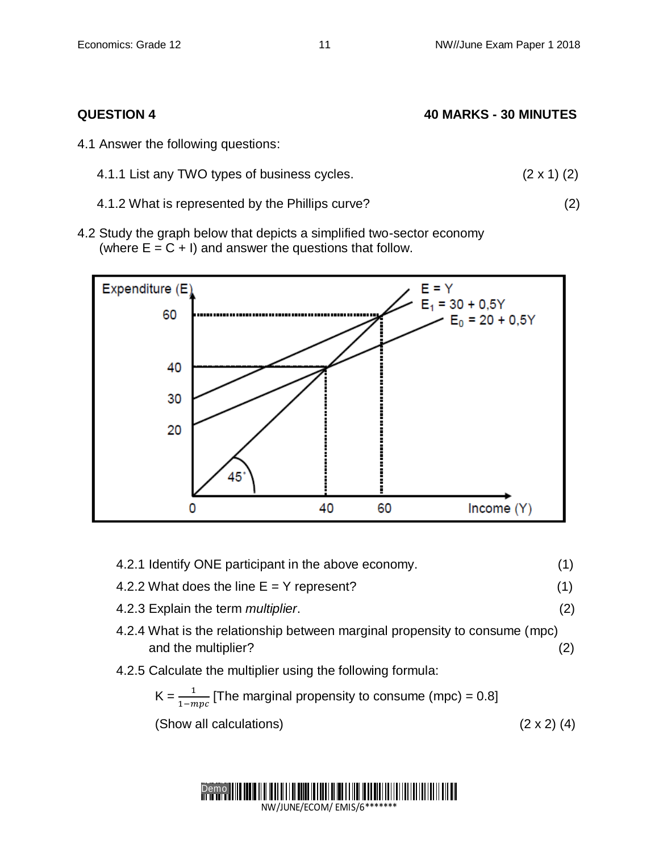| <b>QUESTION 4</b>                                | <b>40 MARKS - 30 MINUTES</b> |  |  |
|--------------------------------------------------|------------------------------|--|--|
| 4.1 Answer the following questions:              |                              |  |  |
| 4.1.1 List any TWO types of business cycles.     | $(2 \times 1)$ (2)           |  |  |
| 4.1.2 What is represented by the Phillips curve? | (2)                          |  |  |

4.2 Study the graph below that depicts a simplified two-sector economy (where  $E = C + I$ ) and answer the questions that follow.



| 4.2.1 Identify ONE participant in the above economy.                                               | (1)                |
|----------------------------------------------------------------------------------------------------|--------------------|
| 4.2.2 What does the line $E = Y$ represent?                                                        | (1)                |
| 4.2.3 Explain the term <i>multiplier</i> .                                                         | (2)                |
| 4.2.4 What is the relationship between marginal propensity to consume (mpc)<br>and the multiplier? | (2)                |
| 4.2.5 Calculate the multiplier using the following formula:                                        |                    |
| $K = \frac{1}{1 - mnc}$ [The marginal propensity to consume (mpc) = 0.8]                           |                    |
| (Show all calculations)                                                                            | $(2 \times 2)$ (4) |
|                                                                                                    |                    |

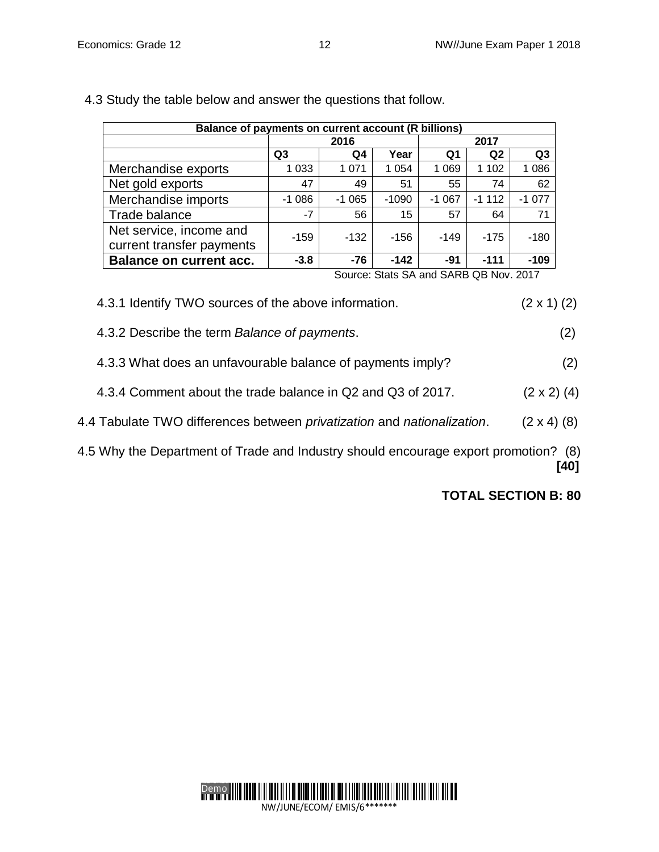| Balance of payments on current account (R billions)  |                |         |         |         |                |                |  |
|------------------------------------------------------|----------------|---------|---------|---------|----------------|----------------|--|
|                                                      |                | 2016    |         |         | 2017           |                |  |
|                                                      | Q <sub>3</sub> | Q4      | Year    | Q1      | Q <sub>2</sub> | Q <sub>3</sub> |  |
| Merchandise exports                                  | 1 0 3 3        | 1 0 7 1 | 1 0 5 4 | 1 0 6 9 | 1 1 0 2        | 1 0 8 6        |  |
| Net gold exports                                     | 47             | 49      | 51      | 55      | 74             | 62             |  |
| Merchandise imports                                  | $-1086$        | $-1065$ | $-1090$ | $-1067$ | $-1112$        | $-1077$        |  |
| Trade balance                                        | $-7$           | 56      | 15      | 57      | 64             | 71             |  |
| Net service, income and<br>current transfer payments | $-159$         | $-132$  | $-156$  | $-149$  | $-175$         | $-180$         |  |
| <b>Balance on current acc.</b>                       | $-3.8$         | $-76$   | $-142$  | $-91$   | $-111$         | $-109$         |  |

4.3 Study the table below and answer the questions that follow.

Source: Stats SA and SARB QB Nov. 2017

# 4.3.1 Identify TWO sources of the above information. (2 x 1) (2)

- 4.3.2 Describe the term *Balance of payments*. (2)
- 4.3.3 What does an unfavourable balance of payments imply? (2)
- 4.3.4 Comment about the trade balance in Q2 and Q3 of 2017. (2 x 2) (4)
- 4.4 Tabulate TWO differences between *privatization* and *nationalization*. (2 x 4) (8)
- 4.5 Why the Department of Trade and Industry should encourage export promotion? (8) **[40]**

**TOTAL SECTION B: 80**